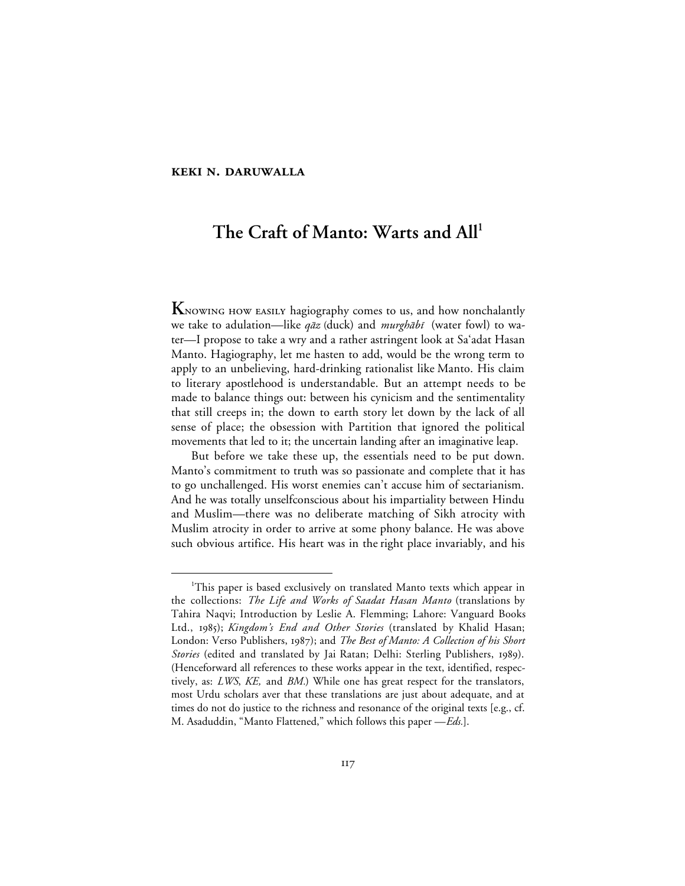#### **KEKI N. DARUWALLA**

# The Craft of Manto: Warts and All<sup>1</sup>

**K** NOWING HOW EASILY hagiography comes to us, and how nonchalantly we take to adulation—like qāz (duck) and murghābī (water fowl) to water—I propose to take a wry and a rather astringent look at Sa'adat Hasan Manto. Hagiography, let me hasten to add, would be the wrong term to apply to an unbelieving, hard-drinking rationalist like Manto. His claim to literary apostlehood is understandable. But an attempt needs to be made to balance things out: between his cynicism and the sentimentality that still creeps in; the down to earth story let down by the lack of all sense of place; the obsession with Partition that ignored the political movements that led to it; the uncertain landing after an imaginative leap.

But before we take these up, the essentials need to be put down. Manto's commitment to truth was so passionate and complete that it has to go unchallenged. His worst enemies can't accuse him of sectarianism. And he was totally unselfconscious about his impartiality between Hindu and Muslim—there was no deliberate matching of Sikh atrocity with Muslim atrocity in order to arrive at some phony balance. He was above such obvious artifice. His heart was in the right place invariably, and his

 $\overline{\phantom{a}}$ This paper is based exclusively on translated Manto texts which appear in the collections: *The Life and Works of Saadat Hasan Manto* (translations by Tahira Naqvi; Introduction by Leslie A. Flemming; Lahore: Vanguard Books Ltd., 1985); *Kingdom's End and Other Stories* (translated by Khalid Hasan; London: Verso Publishers, 1987); and *The Best of Manto: A Collection of his Short Stories* (edited and translated by Jai Ratan; Delhi: Sterling Publishers, 1989). (Henceforward all references to these works appear in the text, identified, respectively, as: *LWS*, *KE,* and *BM.*) While one has great respect for the translators, most Urdu scholars aver that these translations are just about adequate, and at times do not do justice to the richness and resonance of the original texts [e.g., cf. M. Asaduddin, "Manto Flattened," which follows this paper —*Eds.*].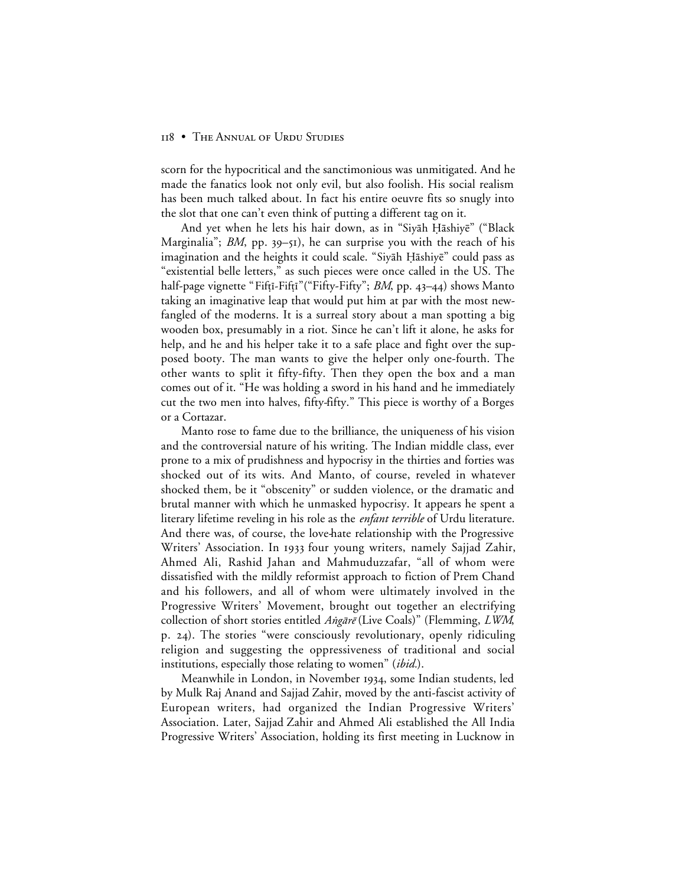scorn for the hypocritical and the sanctimonious was unmitigated. And he made the fanatics look not only evil, but also foolish. His social realism has been much talked about. In fact his entire oeuvre fits so snugly into the slot that one can't even think of putting a different tag on it.

And yet when he lets his hair down, as in "Siyāh Ḥāshiyē" ("Black Marginalia"; *BM*, pp. 39–51), he can surprise you with the reach of his imagination and the heights it could scale. "Siyah Hashiye" could pass as "existential belle letters," as such pieces were once called in the US. The half-page vignette "Fift<sup>†</sup><sub>Fift</sub><sup>\*</sup>"("Fifty-Fifty"; *BM*, pp. 43–44) shows Manto taking an imaginative leap that would put him at par with the most newfangled of the moderns. It is a surreal story about a man spotting a big wooden box, presumably in a riot. Since he can't lift it alone, he asks for help, and he and his helper take it to a safe place and fight over the supposed booty. The man wants to give the helper only one-fourth. The other wants to split it fifty-fifty. Then they open the box and a man comes out of it. "He was holding a sword in his hand and he immediately cut the two men into halves, fifty-fifty." This piece is worthy of a Borges or a Cortazar.

Manto rose to fame due to the brilliance, the uniqueness of his vision and the controversial nature of his writing. The Indian middle class, ever prone to a mix of prudishness and hypocrisy in the thirties and forties was shocked out of its wits. And Manto, of course, reveled in whatever shocked them, be it "obscenity" or sudden violence, or the dramatic and brutal manner with which he unmasked hypocrisy. It appears he spent a literary lifetime reveling in his role as the *enfant terrible* of Urdu literature. And there was, of course, the love-hate relationship with the Progressive Writers' Association. In 1933 four young writers, namely Sajjad Zahir, Ahmed Ali, Rashid Jahan and Mahmuduzzafar, "all of whom were dissatisfied with the mildly reformist approach to fiction of Prem Chand and his followers, and all of whom were ultimately involved in the Progressive Writers' Movement, brought out together an electrifying collection of short stories entitled Angare (Live Coals)" (Flemming, LWM, p. 24). The stories "were consciously revolutionary, openly ridiculing religion and suggesting the oppressiveness of traditional and social institutions, especially those relating to women" (*ibid.*).

Meanwhile in London, in November 1934, some Indian students, led by Mulk Raj Anand and Sajjad Zahir, moved by the anti-fascist activity of European writers, had organized the Indian Progressive Writers' Association. Later, Sajjad Zahir and Ahmed Ali established the All India Progressive Writers' Association, holding its first meeting in Lucknow in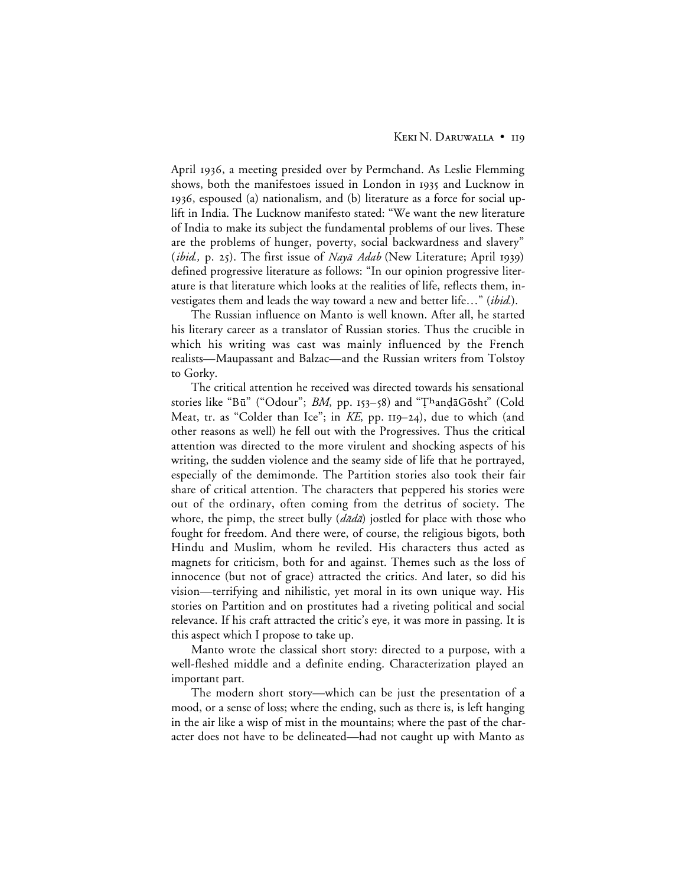April 1936, a meeting presided over by Permchand. As Leslie Flemming shows, both the manifestoes issued in London in 1935 and Lucknow in , espoused (a) nationalism, and (b) literature as a force for social uplift in India. The Lucknow manifesto stated: "We want the new literature of India to make its subject the fundamental problems of our lives. These are the problems of hunger, poverty, social backwardness and slavery" (*ibid.*, p. 25). The first issue of Naya Adab (New Literature; April 1939) defined progressive literature as follows: "In our opinion progressive literature is that literature which looks at the realities of life, reflects them, investigates them and leads the way toward a new and better life…" (*ibid.*).

The Russian influence on Manto is well known. After all, he started his literary career as a translator of Russian stories. Thus the crucible in which his writing was cast was mainly influenced by the French realists—Maupassant and Balzac—and the Russian writers from Tolstoy to Gorky.

The critical attention he received was directed towards his sensational stories like "Bū" ("Odour"; *BM*, pp. 153–58) and "ThandāGōsht" (Cold Meat, tr. as "Colder than Ice"; in *KE*, pp. 119–24), due to which (and other reasons as well) he fell out with the Progressives. Thus the critical attention was directed to the more virulent and shocking aspects of his writing, the sudden violence and the seamy side of life that he portrayed, especially of the demimonde. The Partition stories also took their fair share of critical attention. The characters that peppered his stories were out of the ordinary, often coming from the detritus of society. The whore, the pimp, the street bully  $(d\bar{a}d\bar{a})$  jostled for place with those who fought for freedom. And there were, of course, the religious bigots, both Hindu and Muslim, whom he reviled. His characters thus acted as magnets for criticism, both for and against. Themes such as the loss of innocence (but not of grace) attracted the critics. And later, so did his vision—terrifying and nihilistic, yet moral in its own unique way. His stories on Partition and on prostitutes had a riveting political and social relevance. If his craft attracted the critic's eye, it was more in passing. It is this aspect which I propose to take up.

Manto wrote the classical short story: directed to a purpose, with a well-fleshed middle and a definite ending. Characterization played an important part.

The modern short story—which can be just the presentation of a mood, or a sense of loss; where the ending, such as there is, is left hanging in the air like a wisp of mist in the mountains; where the past of the character does not have to be delineated—had not caught up with Manto as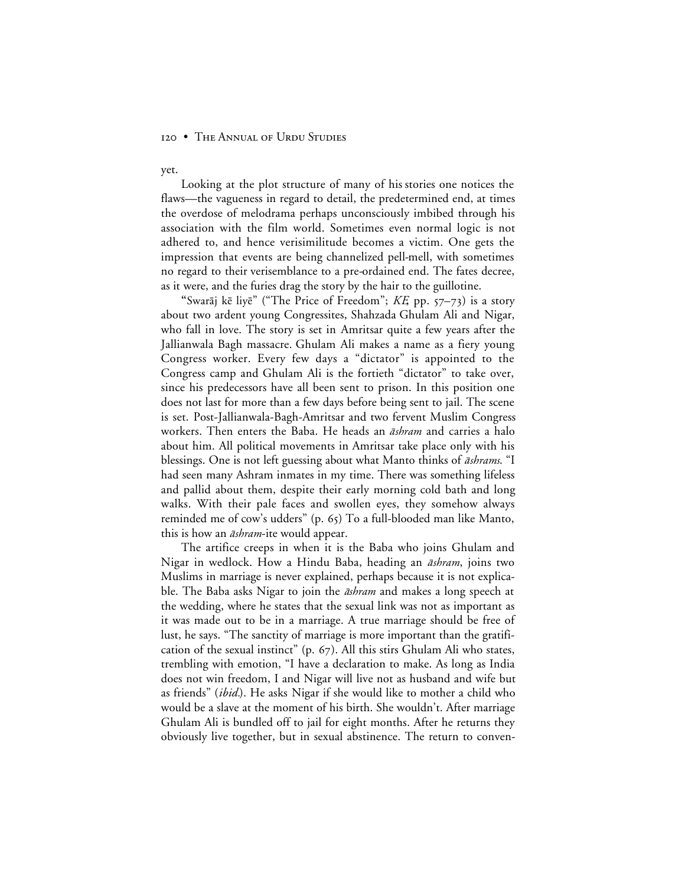yet.

Looking at the plot structure of many of his stories one notices the flaws—the vagueness in regard to detail, the predetermined end, at times the overdose of melodrama perhaps unconsciously imbibed through his association with the film world. Sometimes even normal logic is not adhered to, and hence verisimilitude becomes a victim. One gets the impression that events are being channelized pell-mell, with sometimes no regard to their verisemblance to a pre-ordained end. The fates decree, as it were, and the furies drag the story by the hair to the guillotine.

"Swarāj kē liyē" ("The Price of Freedom"; *KE*, pp. 57−73) is a story about two ardent young Congressites, Shahzada Ghulam Ali and Nigar, who fall in love. The story is set in Amritsar quite a few years after the Jallianwala Bagh massacre. Ghulam Ali makes a name as a fiery young Congress worker. Every few days a "dictator" is appointed to the Congress camp and Ghulam Ali is the fortieth "dictator" to take over, since his predecessors have all been sent to prison. In this position one does not last for more than a few days before being sent to jail. The scene is set. Post-Jallianwala-Bagh-Amritsar and two fervent Muslim Congress workers. Then enters the Baba. He heads an *āshram* and carries a halo about him. All political movements in Amritsar take place only with his blessings. One is not left guessing about what Manto thinks of *āshrams*. "I had seen many Ashram inmates in my time. There was something lifeless and pallid about them, despite their early morning cold bath and long walks. With their pale faces and swollen eyes, they somehow always reminded me of cow's udders"  $(p. 65)$  To a full-blooded man like Manto, this is how an *āshram*-ite would appear.

The artifice creeps in when it is the Baba who joins Ghulam and Nigar in wedlock. How a Hindu Baba, heading an *āshram*, joins two Muslims in marriage is never explained, perhaps because it is not explicable. The Baba asks Nigar to join the *āshram* and makes a long speech at the wedding, where he states that the sexual link was not as important as it was made out to be in a marriage. A true marriage should be free of lust, he says. "The sanctity of marriage is more important than the gratification of the sexual instinct" (p.  $67$ ). All this stirs Ghulam Ali who states, trembling with emotion, "I have a declaration to make. As long as India does not win freedom, I and Nigar will live not as husband and wife but as friends" (*ibid.*). He asks Nigar if she would like to mother a child who would be a slave at the moment of his birth. She wouldn't. After marriage Ghulam Ali is bundled off to jail for eight months. After he returns they obviously live together, but in sexual abstinence. The return to conven-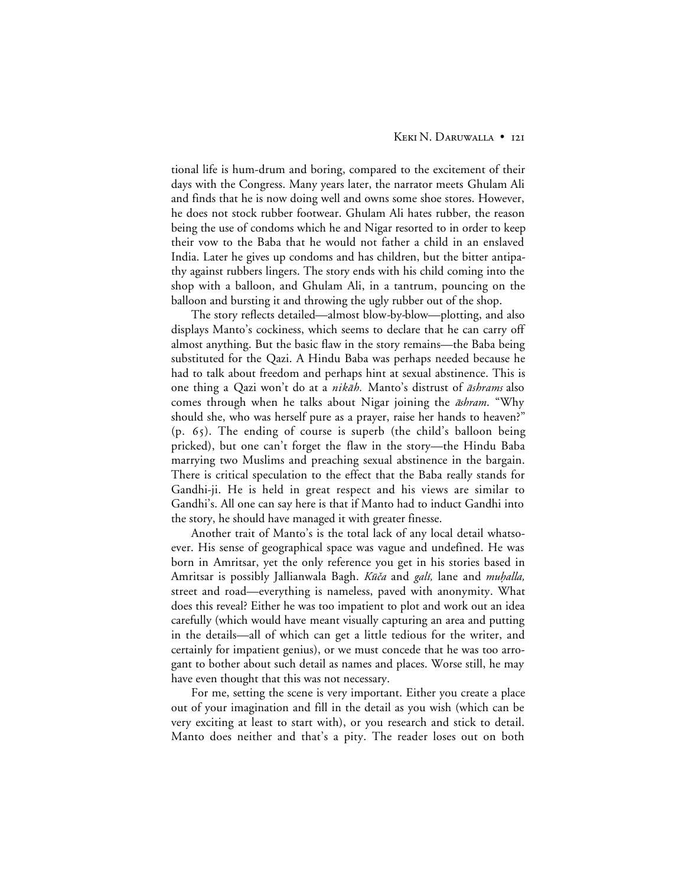## KEKI N. DARUWALLA · 121

tional life is hum-drum and boring, compared to the excitement of their days with the Congress. Many years later, the narrator meets Ghulam Ali and finds that he is now doing well and owns some shoe stores. However, he does not stock rubber footwear. Ghulam Ali hates rubber, the reason being the use of condoms which he and Nigar resorted to in order to keep their vow to the Baba that he would not father a child in an enslaved India. Later he gives up condoms and has children, but the bitter antipathy against rubbers lingers. The story ends with his child coming into the shop with a balloon, and Ghulam Ali, in a tantrum, pouncing on the balloon and bursting it and throwing the ugly rubber out of the shop.

The story reflects detailed—almost blow-by-blow—plotting, and also displays Manto's cockiness, which seems to declare that he can carry off almost anything. But the basic flaw in the story remains—the Baba being substituted for the Qazi. A Hindu Baba was perhaps needed because he had to talk about freedom and perhaps hint at sexual abstinence. This is one thing a Qazi won't do at a *nikāh*. Manto's distrust of *āshrams* also comes through when he talks about Nigar joining the *āshram*. "Why should she, who was herself pure as a prayer, raise her hands to heaven?"  $(p. 65)$ . The ending of course is superb (the child's balloon being pricked), but one can't forget the flaw in the story—the Hindu Baba marrying two Muslims and preaching sexual abstinence in the bargain. There is critical speculation to the effect that the Baba really stands for Gandhi-ji. He is held in great respect and his views are similar to Gandhi's. All one can say here is that if Manto had to induct Gandhi into the story, he should have managed it with greater finesse.

Another trait of Manto's is the total lack of any local detail whatsoever. His sense of geographical space was vague and undefined. He was born in Amritsar, yet the only reference you get in his stories based in Amritsar is possibly Jallianwala Bagh. Kūča and galī, lane and muhalla, street and road—everything is nameless, paved with anonymity. What does this reveal? Either he was too impatient to plot and work out an idea carefully (which would have meant visually capturing an area and putting in the details—all of which can get a little tedious for the writer, and certainly for impatient genius), or we must concede that he was too arrogant to bother about such detail as names and places. Worse still, he may have even thought that this was not necessary.

For me, setting the scene is very important. Either you create a place out of your imagination and fill in the detail as you wish (which can be very exciting at least to start with), or you research and stick to detail. Manto does neither and that's a pity. The reader loses out on both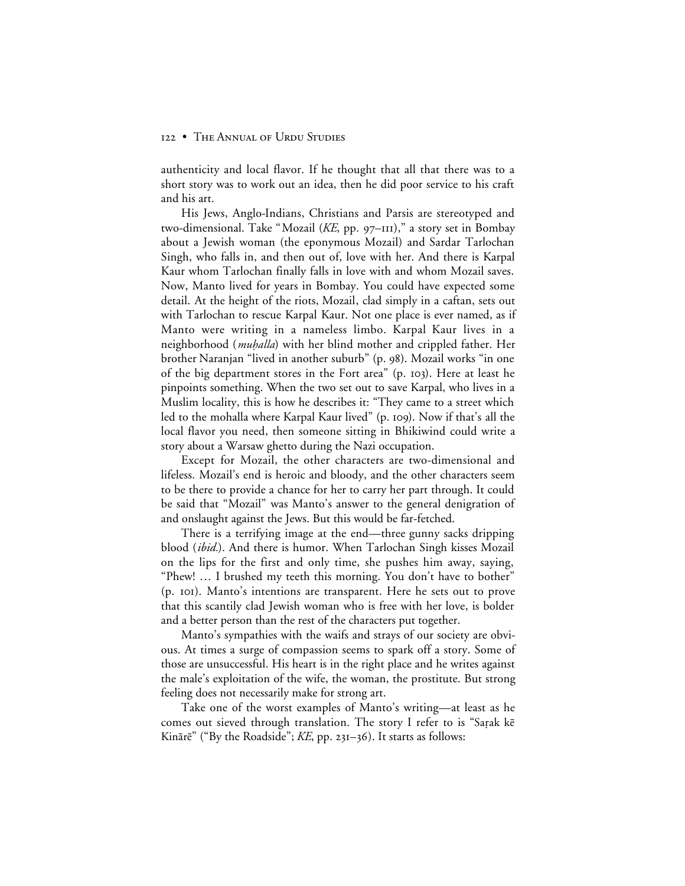authenticity and local flavor. If he thought that all that there was to a short story was to work out an idea, then he did poor service to his craft and his art.

His Jews, Anglo-Indians, Christians and Parsis are stereotyped and two-dimensional. Take "Mozail (*KE*, pp. 97–111)," a story set in Bombay about a Jewish woman (the eponymous Mozail) and Sardar Tarlochan Singh, who falls in, and then out of, love with her. And there is Karpal Kaur whom Tarlochan finally falls in love with and whom Mozail saves. Now, Manto lived for years in Bombay. You could have expected some detail. At the height of the riots, Mozail, clad simply in a caftan, sets out with Tarlochan to rescue Karpal Kaur. Not one place is ever named, as if Manto were writing in a nameless limbo. Karpal Kaur lives in a neighborhood (*muḥalla*) with her blind mother and crippled father. Her brother Naranjan "lived in another suburb" (p. 98). Mozail works "in one of the big department stores in the Fort area" (p. 103). Here at least he pinpoints something. When the two set out to save Karpal, who lives in a Muslim locality, this is how he describes it: "They came to a street which led to the mohalla where Karpal Kaur lived" (p. 109). Now if that's all the local flavor you need, then someone sitting in Bhikiwind could write a story about a Warsaw ghetto during the Nazi occupation.

Except for Mozail, the other characters are two-dimensional and lifeless. Mozail's end is heroic and bloody, and the other characters seem to be there to provide a chance for her to carry her part through. It could be said that "Mozail" was Manto's answer to the general denigration of and onslaught against the Jews. But this would be far-fetched.

There is a terrifying image at the end—three gunny sacks dripping blood (*ibid.*). And there is humor. When Tarlochan Singh kisses Mozail on the lips for the first and only time, she pushes him away, saying, "Phew! … I brushed my teeth this morning. You don't have to bother" (p. ). Manto's intentions are transparent. Here he sets out to prove that this scantily clad Jewish woman who is free with her love, is bolder and a better person than the rest of the characters put together.

Manto's sympathies with the waifs and strays of our society are obvious. At times a surge of compassion seems to spark off a story. Some of those are unsuccessful. His heart is in the right place and he writes against the male's exploitation of the wife, the woman, the prostitute. But strong feeling does not necessarily make for strong art.

Take one of the worst examples of Manto's writing—at least as he comes out sieved through translation. The story I refer to is "Sarak ke Kinārē" ("By the Roadside"; *KE*, pp. 231-36). It starts as follows: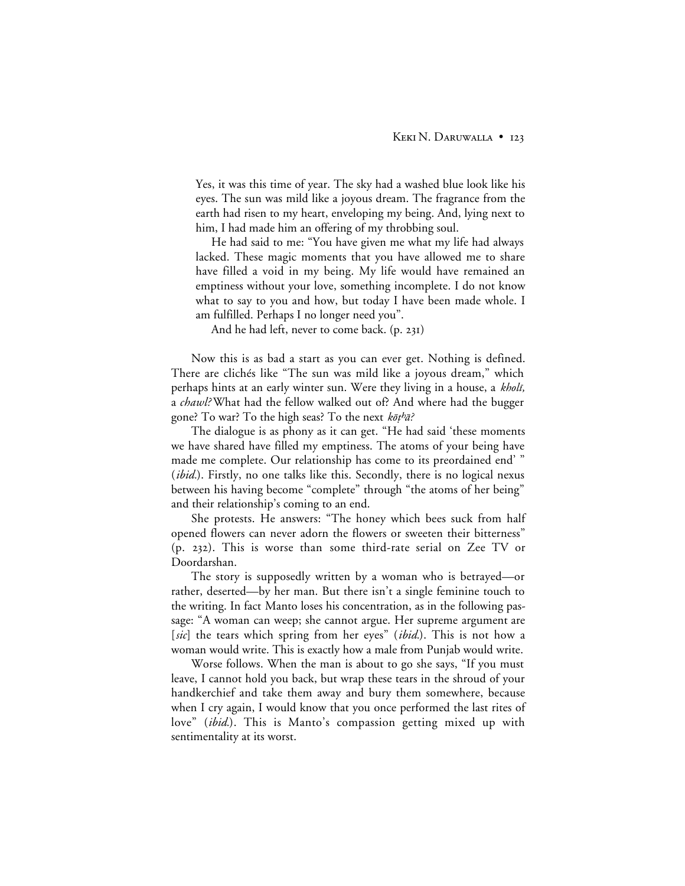Yes, it was this time of year. The sky had a washed blue look like his eyes. The sun was mild like a joyous dream. The fragrance from the earth had risen to my heart, enveloping my being. And, lying next to him, I had made him an offering of my throbbing soul.

He had said to me: "You have given me what my life had always lacked. These magic moments that you have allowed me to share have filled a void in my being. My life would have remained an emptiness without your love, something incomplete. I do not know what to say to you and how, but today I have been made whole. I am fulfilled. Perhaps I no longer need you".

And he had left, never to come back.  $(p. 231)$ 

Now this is as bad a start as you can ever get. Nothing is defined. There are clichés like "The sun was mild like a joyous dream," which perhaps hints at an early winter sun. Were they living in a house, a kholi, a *chawl?* What had the fellow walked out of? And where had the bugger gone? To war? To the high seas? To the next  $k\bar{o}t^b\bar{a}$ ?

The dialogue is as phony as it can get. "He had said 'these moments we have shared have filled my emptiness. The atoms of your being have made me complete. Our relationship has come to its preordained end' " (*ibid.*). Firstly, no one talks like this. Secondly, there is no logical nexus between his having become "complete" through "the atoms of her being" and their relationship's coming to an end.

She protests. He answers: "The honey which bees suck from half opened flowers can never adorn the flowers or sweeten their bitterness"  $(p. 232)$ . This is worse than some third-rate serial on Zee TV or Doordarshan.

The story is supposedly written by a woman who is betrayed—or rather, deserted—by her man. But there isn't a single feminine touch to the writing. In fact Manto loses his concentration, as in the following passage: "A woman can weep; she cannot argue. Her supreme argument are [*sic*] the tears which spring from her eyes" *(ibid.)*. This is not how a woman would write. This is exactly how a male from Punjab would write.

Worse follows. When the man is about to go she says, "If you must leave, I cannot hold you back, but wrap these tears in the shroud of your handkerchief and take them away and bury them somewhere, because when I cry again, I would know that you once performed the last rites of love" (*ibid.*). This is Manto's compassion getting mixed up with sentimentality at its worst.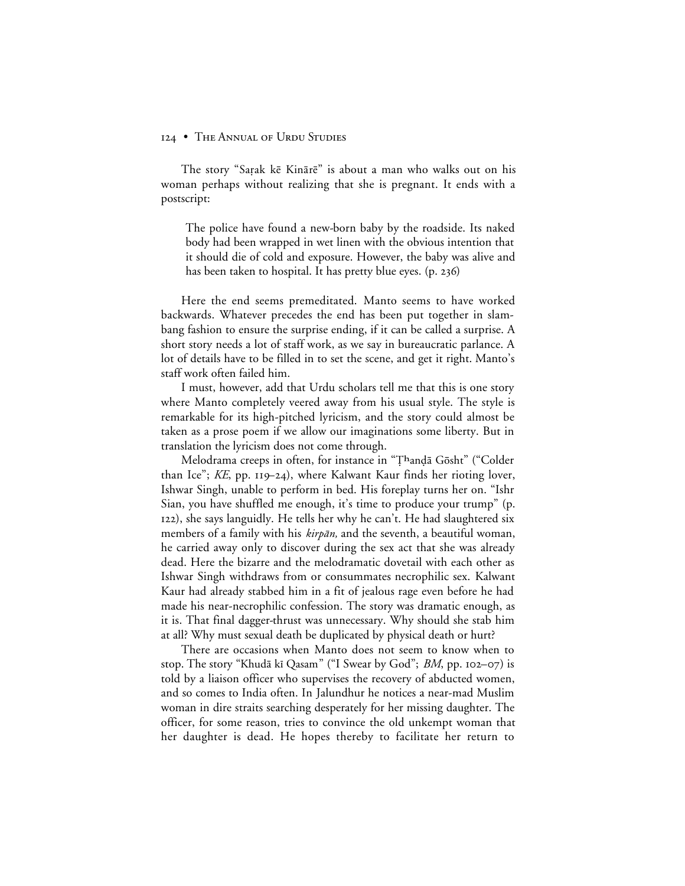The story "Sarak kē Kinārē" is about a man who walks out on his woman perhaps without realizing that she is pregnant. It ends with a postscript:

The police have found a new-born baby by the roadside. Its naked body had been wrapped in wet linen with the obvious intention that it should die of cold and exposure. However, the baby was alive and has been taken to hospital. It has pretty blue eyes. (p. 236)

Here the end seems premeditated. Manto seems to have worked backwards. Whatever precedes the end has been put together in slambang fashion to ensure the surprise ending, if it can be called a surprise. A short story needs a lot of staff work, as we say in bureaucratic parlance. A lot of details have to be filled in to set the scene, and get it right. Manto's staff work often failed him.

I must, however, add that Urdu scholars tell me that this is one story where Manto completely veered away from his usual style. The style is remarkable for its high-pitched lyricism, and the story could almost be taken as a prose poem if we allow our imaginations some liberty. But in translation the lyricism does not come through.

Melodrama creeps in often, for instance in "Thandā Gōsht" ("Colder than Ice";  $KE$ , pp.  $119-24$ ), where Kalwant Kaur finds her rioting lover, Ishwar Singh, unable to perform in bed. His foreplay turns her on. "Ishr Sian, you have shuffled me enough, it's time to produce your trump" (p.  $(122)$ , she says languidly. He tells her why he can't. He had slaughtered six members of a family with his  $\frac{kip\pi}{\text{min}}$ , and the seventh, a beautiful woman, he carried away only to discover during the sex act that she was already dead. Here the bizarre and the melodramatic dovetail with each other as Ishwar Singh withdraws from or consummates necrophilic sex. Kalwant Kaur had already stabbed him in a fit of jealous rage even before he had made his near-necrophilic confession. The story was dramatic enough, as it is. That final dagger-thrust was unnecessary. Why should she stab him at all? Why must sexual death be duplicated by physical death or hurt?

There are occasions when Manto does not seem to know when to stop. The story "Khudā kī Qasam" ("I Swear by God"; *BM*, pp. 102–07) is told by a liaison officer who supervises the recovery of abducted women, and so comes to India often. In Jalundhur he notices a near-mad Muslim woman in dire straits searching desperately for her missing daughter. The officer, for some reason, tries to convince the old unkempt woman that her daughter is dead. He hopes thereby to facilitate her return to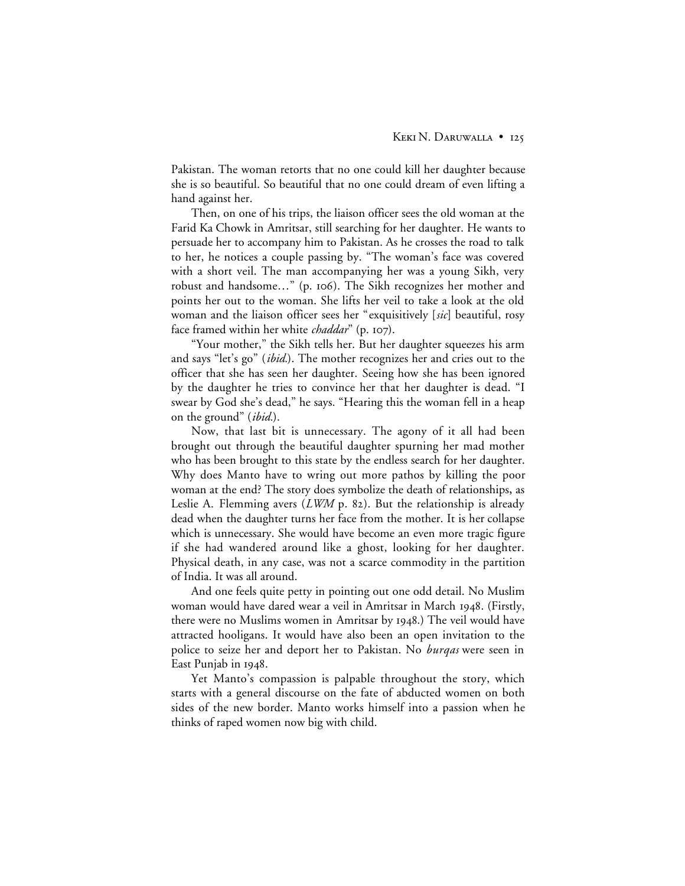Pakistan. The woman retorts that no one could kill her daughter because she is so beautiful. So beautiful that no one could dream of even lifting a hand against her.

Then, on one of his trips, the liaison officer sees the old woman at the Farid Ka Chowk in Amritsar, still searching for her daughter. He wants to persuade her to accompany him to Pakistan. As he crosses the road to talk to her, he notices a couple passing by. "The woman's face was covered with a short veil. The man accompanying her was a young Sikh, very robust and handsome..." (p. 106). The Sikh recognizes her mother and points her out to the woman. She lifts her veil to take a look at the old woman and the liaison officer sees her "exquisitively [*sic*] beautiful, rosy face framed within her white *chaddar*" (p. 107).

"Your mother," the Sikh tells her. But her daughter squeezes his arm and says "let's go" (*ibid.*). The mother recognizes her and cries out to the officer that she has seen her daughter. Seeing how she has been ignored by the daughter he tries to convince her that her daughter is dead. "I swear by God she's dead," he says. "Hearing this the woman fell in a heap on the ground" (*ibid.*).

Now, that last bit is unnecessary. The agony of it all had been brought out through the beautiful daughter spurning her mad mother who has been brought to this state by the endless search for her daughter. Why does Manto have to wring out more pathos by killing the poor woman at the end? The story does symbolize the death of relationships**,** as Leslie A. Flemming avers  $(LWM$  p. 82). But the relationship is already dead when the daughter turns her face from the mother. It is her collapse which is unnecessary. She would have become an even more tragic figure if she had wandered around like a ghost, looking for her daughter. Physical death, in any case, was not a scarce commodity in the partition of India. It was all around.

And one feels quite petty in pointing out one odd detail. No Muslim woman would have dared wear a veil in Amritsar in March 1948. (Firstly, there were no Muslims women in Amritsar by 1948.) The veil would have attracted hooligans. It would have also been an open invitation to the police to seize her and deport her to Pakistan. No *burqas* were seen in East Punjab in 1948.

Yet Manto's compassion is palpable throughout the story, which starts with a general discourse on the fate of abducted women on both sides of the new border. Manto works himself into a passion when he thinks of raped women now big with child.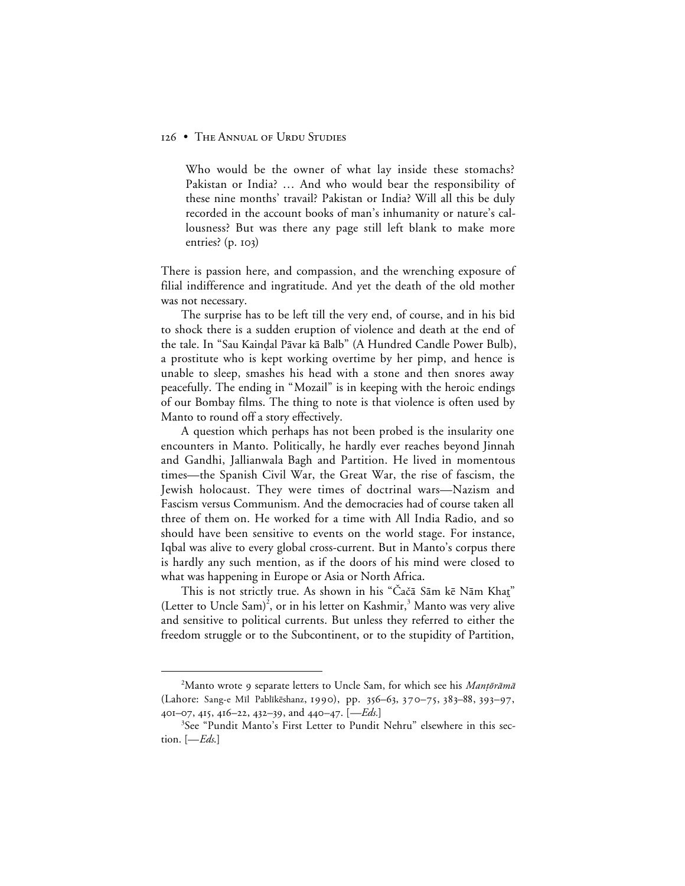Who would be the owner of what lay inside these stomachs? Pakistan or India? … And who would bear the responsibility of these nine months' travail? Pakistan or India? Will all this be duly recorded in the account books of man's inhumanity or nature's callousness? But was there any page still left blank to make more entries?  $(p. 103)$ 

There is passion here, and compassion, and the wrenching exposure of filial indifference and ingratitude. And yet the death of the old mother was not necessary.

The surprise has to be left till the very end, of course, and in his bid to shock there is a sudden eruption of violence and death at the end of the tale. In "Sau Kaindal Pāvar kā Balb" (A Hundred Candle Power Bulb), a prostitute who is kept working overtime by her pimp, and hence is unable to sleep, smashes his head with a stone and then snores away peacefully. The ending in "Mozail" is in keeping with the heroic endings of our Bombay films. The thing to note is that violence is often used by Manto to round off a story effectively.

A question which perhaps has not been probed is the insularity one encounters in Manto. Politically, he hardly ever reaches beyond Jinnah and Gandhi, Jallianwala Bagh and Partition. He lived in momentous times—the Spanish Civil War, the Great War, the rise of fascism, the Jewish holocaust. They were times of doctrinal wars—Nazism and Fascism versus Communism. And the democracies had of course taken all three of them on. He worked for a time with All India Radio, and so should have been sensitive to events on the world stage. For instance, Iqbal was alive to every global cross-current. But in Manto's corpus there is hardly any such mention, as if the doors of his mind were closed to what was happening in Europe or Asia or North Africa.

This is not strictly true. As shown in his "Čačā Sām kē Nām Khat" (Letter to Uncle Sam)<sup>2</sup>, or in his letter on Kashmir,<sup>3</sup> Manto was very alive and sensitive to political currents. But unless they referred to either the freedom struggle or to the Subcontinent, or to the stupidity of Partition,

 $\overline{a}$ <sup>2</sup>Manto wrote 9 separate letters to Uncle Sam, for which see his Mantōrāmā (Lahore: Sang-e Mil Pablikēshanz, 1990), pp. 356-63, 370-75, 383-88, 393-97, 401-07, 415, 416-22, 432-39, and 440-47. [*-Eds.*]

<sup>&</sup>lt;sup>3</sup>See "Pundit Manto's First Letter to Pundit Nehru" elsewhere in this section. [—*Eds*.]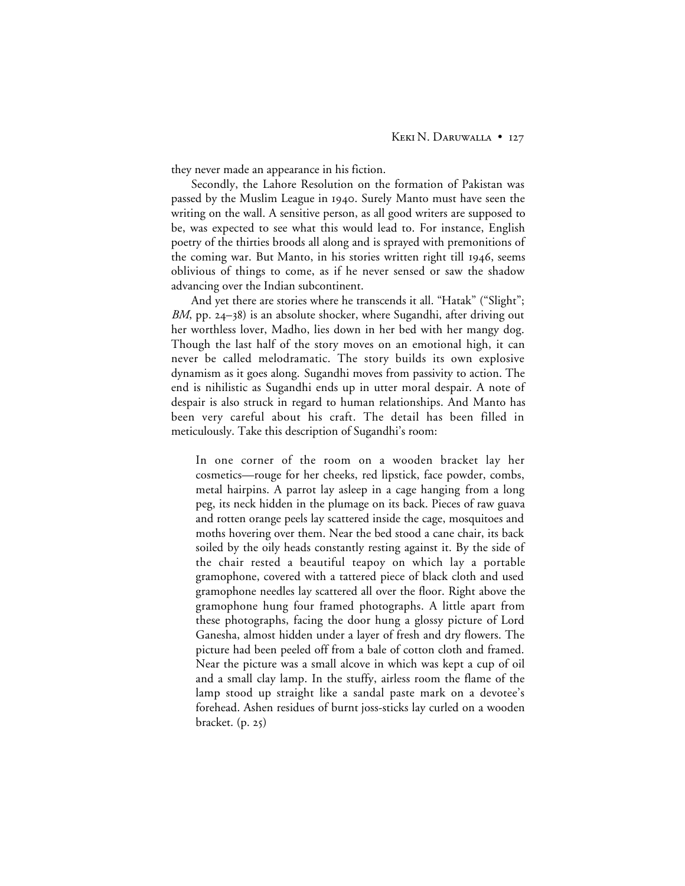they never made an appearance in his fiction.

Secondly, the Lahore Resolution on the formation of Pakistan was passed by the Muslim League in 1940. Surely Manto must have seen the writing on the wall. A sensitive person, as all good writers are supposed to be, was expected to see what this would lead to. For instance, English poetry of the thirties broods all along and is sprayed with premonitions of the coming war. But Manto, in his stories written right till 1946, seems oblivious of things to come, as if he never sensed or saw the shadow advancing over the Indian subcontinent.

And yet there are stories where he transcends it all. "Hatak" ("Slight"; *BM*, pp. 24–38) is an absolute shocker, where Sugandhi, after driving out her worthless lover, Madho, lies down in her bed with her mangy dog. Though the last half of the story moves on an emotional high, it can never be called melodramatic. The story builds its own explosive dynamism as it goes along. Sugandhi moves from passivity to action. The end is nihilistic as Sugandhi ends up in utter moral despair. A note of despair is also struck in regard to human relationships. And Manto has been very careful about his craft. The detail has been filled in meticulously. Take this description of Sugandhi's room:

In one corner of the room on a wooden bracket lay her cosmetics—rouge for her cheeks, red lipstick, face powder, combs, metal hairpins. A parrot lay asleep in a cage hanging from a long peg, its neck hidden in the plumage on its back. Pieces of raw guava and rotten orange peels lay scattered inside the cage, mosquitoes and moths hovering over them. Near the bed stood a cane chair, its back soiled by the oily heads constantly resting against it. By the side of the chair rested a beautiful teapoy on which lay a portable gramophone, covered with a tattered piece of black cloth and used gramophone needles lay scattered all over the floor. Right above the gramophone hung four framed photographs. A little apart from these photographs, facing the door hung a glossy picture of Lord Ganesha, almost hidden under a layer of fresh and dry flowers. The picture had been peeled off from a bale of cotton cloth and framed. Near the picture was a small alcove in which was kept a cup of oil and a small clay lamp. In the stuffy, airless room the flame of the lamp stood up straight like a sandal paste mark on a devotee's forehead. Ashen residues of burnt joss-sticks lay curled on a wooden bracket.  $(p. 25)$